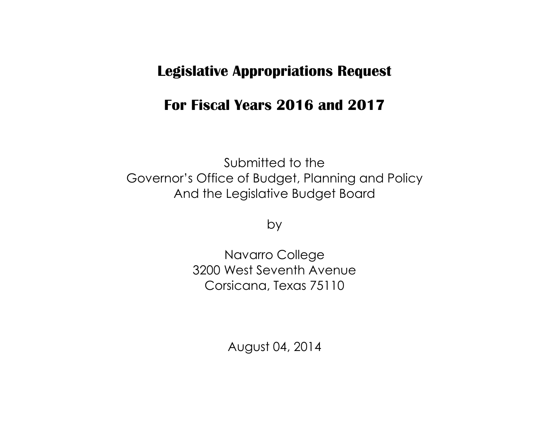## **Legislative Appropriations Request**

# **For Fiscal Years 2016 and 2017**

Submitted to the Governor's Office of Budget, Planning and Policy And the Legislative Budget Board

by

Navarro College 3200 West Seventh Avenue Corsicana, Texas 75110

August 04, 2014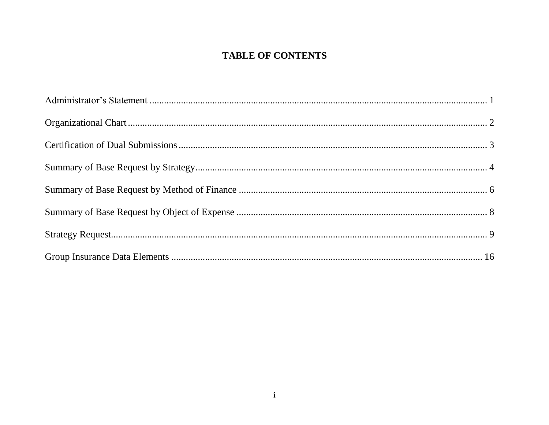## **TABLE OF CONTENTS**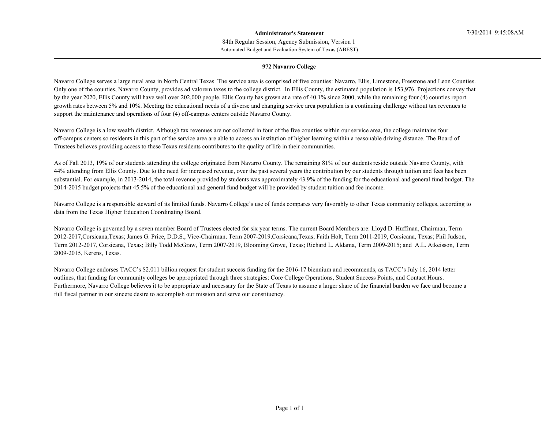#### Automated Budget and Evaluation System of Texas (ABEST) 84th Regular Session, Agency Submission, Version 1 **Administrator's Statement**

#### **972 Navarro College**

Navarro College serves a large rural area in North Central Texas. The service area is comprised of five counties: Navarro, Ellis, Limestone, Freestone and Leon Counties. Only one of the counties, Navarro County, provides ad valorem taxes to the college district. In Ellis County, the estimated population is 153,976. Projections convey that by the year 2020, Ellis County will have well over 202,000 people. Ellis County has grown at a rate of 40.1% since 2000, while the remaining four (4) counties report growth rates between 5% and 10%. Meeting the educational needs of a diverse and changing service area population is a continuing challenge without tax revenues to support the maintenance and operations of four (4) off-campus centers outside Navarro County.

Navarro College is a low wealth district. Although tax revenues are not collected in four of the five counties within our service area, the college maintains four off-campus centers so residents in this part of the service area are able to access an institution of higher learning within a reasonable driving distance. The Board of Trustees believes providing access to these Texas residents contributes to the quality of life in their communities.

As of Fall 2013, 19% of our students attending the college originated from Navarro County. The remaining 81% of our students reside outside Navarro County, with 44% attending from Ellis County. Due to the need for increased revenue, over the past several years the contribution by our students through tuition and fees has been substantial. For example, in 2013-2014, the total revenue provided by students was approximately 43.9% of the funding for the educational and general fund budget. The 2014-2015 budget projects that 45.5% of the educational and general fund budget will be provided by student tuition and fee income.

Navarro College is a responsible steward of its limited funds. Navarro College's use of funds compares very favorably to other Texas community colleges, according to data from the Texas Higher Education Coordinating Board.

Navarro College is governed by a seven member Board of Trustees elected for six year terms. The current Board Members are: Lloyd D. Huffman, Chairman, Term 2012-2017,Corsicana,Texas; James G. Price, D.D.S., Vice-Chairman, Term 2007-2019,Corsicana,Texas; Faith Holt, Term 2011-2019, Corsicana, Texas; Phil Judson, Term 2012-2017, Corsicana, Texas; Billy Todd McGraw, Term 2007-2019, Blooming Grove, Texas; Richard L. Aldama, Term 2009-2015; and A.L. Atkeisson, Term 2009-2015, Kerens, Texas.

Navarro College endorses TACC's \$2.011 billion request for student success funding for the 2016-17 biennium and recommends, as TACC's July 16, 2014 letter outlines, that funding for community colleges be appropriated through three strategies: Core College Operations, Student Success Points, and Contact Hours. Furthermore, Navarro College believes it to be appropriate and necessary for the State of Texas to assume a larger share of the financial burden we face and become a full fiscal partner in our sincere desire to accomplish our mission and serve our constituency.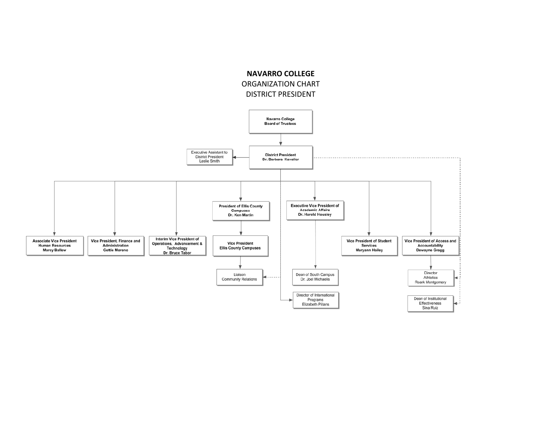

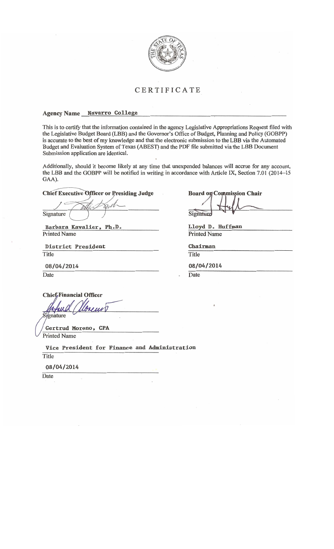

## CERTIFICATE

## Agency Name Navarro College

This is to certify that the information contained in the agency Legislative Appropriations Request filed with the Legislative Budget Board (LBB) and the Governor's Office of Budget, Planning and Policy (GOBPP) is accurate to the best of my knowledge and that the electronic submission to the LBB via the Automated Budget and Evaluation System of Texas (ABEST) and the PDF file submitted via the LBB Document Submission application are identical.

Additionally, should it become likely at any time that unexpended balances will accrue for any account, the LBB and the GOBPP will be notified in writing in accordance with Article IX, Section 7.01 (2014–15) GAA).

### **Chief Executive Officer or Presiding Judge**

Signature

Barbara Kavalier, Ph.D. **Printed Name** 

District President Title

08/04/2014

Date

**Chief/Financial Officer** Wall Signature

Gertrud Moreno, CPA **Printed Name** 

Vice President for Finance and Administration Title

08/04/2014

Date

**Board on Commission Chair** Signature

Lloyd D. Huffman **Printed Name** 

Chairman

Title

08/04/2014

Date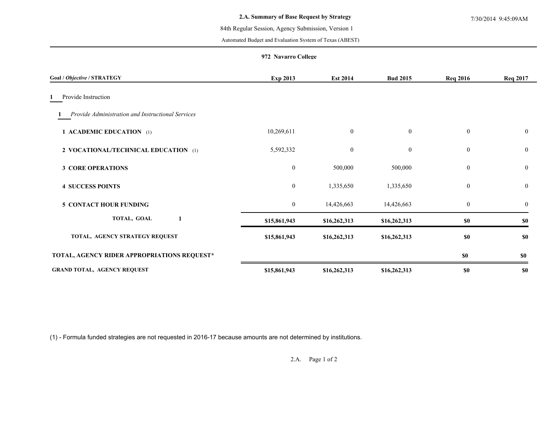#### 84th Regular Session, Agency Submission, Version 1

Automated Budget and Evaluation System of Texas (ABEST)

#### **972 Navarro College**

| Goal / Objective / STRATEGY                       | Exp 2013         | <b>Est 2014</b> | <b>Bud 2015</b>  | <b>Req 2016</b>  | <b>Req 2017</b>  |
|---------------------------------------------------|------------------|-----------------|------------------|------------------|------------------|
| Provide Instruction                               |                  |                 |                  |                  |                  |
| Provide Administration and Instructional Services |                  |                 |                  |                  |                  |
| 1 ACADEMIC EDUCATION (1)                          | 10,269,611       | $\mathbf{0}$    | $\boldsymbol{0}$ | $\boldsymbol{0}$ | $\mathbf{0}$     |
| 2 VOCATIONAL/TECHNICAL EDUCATION (1)              | 5,592,332        | $\mathbf{0}$    | $\boldsymbol{0}$ | $\boldsymbol{0}$ | $\mathbf{0}$     |
| <b>3 CORE OPERATIONS</b>                          | $\mathbf{0}$     | 500,000         | 500,000          | $\mathbf{0}$     | $\boldsymbol{0}$ |
| <b>4 SUCCESS POINTS</b>                           | $\boldsymbol{0}$ | 1,335,650       | 1,335,650        | $\boldsymbol{0}$ | $\mathbf{0}$     |
| <b>5 CONTACT HOUR FUNDING</b>                     | $\overline{0}$   | 14,426,663      | 14,426,663       | $\boldsymbol{0}$ | $\mathbf{0}$     |
| TOTAL, GOAL                                       | \$15,861,943     | \$16,262,313    | \$16,262,313     | $\$0$            | \$0              |
| TOTAL, AGENCY STRATEGY REQUEST                    | \$15,861,943     | \$16,262,313    | \$16,262,313     | \$0              | \$0              |
| TOTAL, AGENCY RIDER APPROPRIATIONS REQUEST*       |                  |                 |                  | \$0              | \$0              |
| <b>GRAND TOTAL, AGENCY REQUEST</b>                | \$15,861,943     | \$16,262,313    | \$16,262,313     | \$0              | \$0              |

(1) - Formula funded strategies are not requested in 2016-17 because amounts are not determined by institutions.

2.A. Page 1 of 2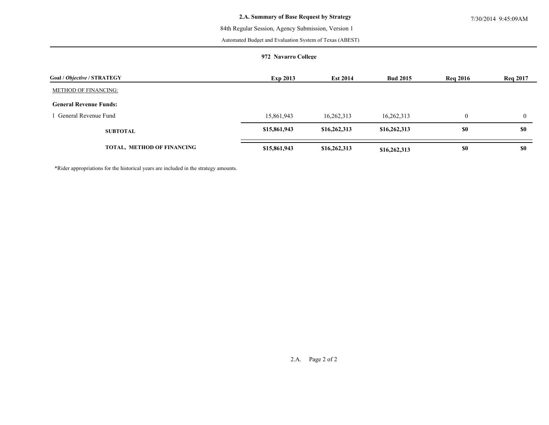#### 84th Regular Session, Agency Submission, Version 1

Automated Budget and Evaluation System of Texas (ABEST)

#### **972 Navarro College**

| Goal / Objective / STRATEGY   | <b>Exp 2013</b> | <b>Est 2014</b> | <b>Bud 2015</b> | <b>Reg 2016</b> | <b>Req 2017</b> |
|-------------------------------|-----------------|-----------------|-----------------|-----------------|-----------------|
| <b>METHOD OF FINANCING:</b>   |                 |                 |                 |                 |                 |
| <b>General Revenue Funds:</b> |                 |                 |                 |                 |                 |
| General Revenue Fund          | 15,861,943      | 16,262,313      | 16,262,313      | $\theta$        | $\overline{0}$  |
| <b>SUBTOTAL</b>               | \$15,861,943    | \$16,262,313    | \$16,262,313    | \$0             | \$0             |
| TOTAL, METHOD OF FINANCING    | \$15,861,943    | \$16,262,313    | \$16,262,313    | \$0             | \$0             |

\*Rider appropriations for the historical years are included in the strategy amounts.

7/30/2014 9:45:09AM

2.A. Page 2 of 2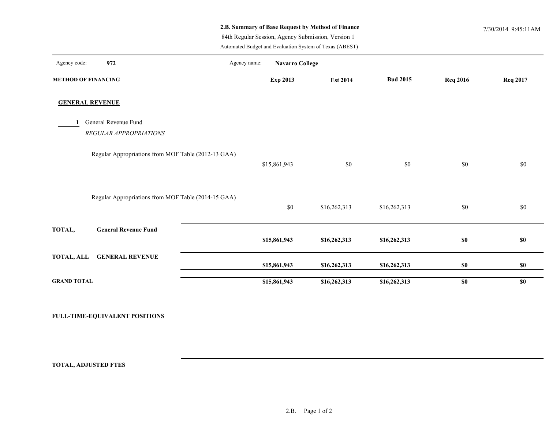## **2.B. Summary of Base Request by Method of Finance** 7/30/2014 9:45:11AM

84th Regular Session, Agency Submission, Version 1

Automated Budget and Evaluation System of Texas (ABEST)

| Agency code:               | 972                                                 | Agency name: | <b>Navarro College</b> |              |                 |                 |                 |
|----------------------------|-----------------------------------------------------|--------------|------------------------|--------------|-----------------|-----------------|-----------------|
| <b>METHOD OF FINANCING</b> |                                                     |              | Exp 2013               | Est 2014     | <b>Bud 2015</b> | <b>Req 2016</b> | <b>Req 2017</b> |
|                            | <b>GENERAL REVENUE</b>                              |              |                        |              |                 |                 |                 |
| $\mathbf 1$                | General Revenue Fund                                |              |                        |              |                 |                 |                 |
|                            | REGULAR APPROPRIATIONS                              |              |                        |              |                 |                 |                 |
|                            | Regular Appropriations from MOF Table (2012-13 GAA) |              | \$15,861,943           | \$0          | \$0             | \$0             | \$0             |
|                            | Regular Appropriations from MOF Table (2014-15 GAA) |              | $\$0$                  | \$16,262,313 | \$16,262,313    | $\$0$           | $\$0$           |
| TOTAL,                     | <b>General Revenue Fund</b>                         |              | \$15,861,943           | \$16,262,313 | \$16,262,313    | \$0             | $\$0$           |
| <b>TOTAL, ALL</b>          | <b>GENERAL REVENUE</b>                              |              | \$15,861,943           | \$16,262,313 | \$16,262,313    | $\$0$           | \$0             |
| <b>GRAND TOTAL</b>         |                                                     |              | \$15,861,943           | \$16,262,313 | \$16,262,313    | \$0             | \$0             |
|                            | FULL-TIME-EQUIVALENT POSITIONS                      |              |                        |              |                 |                 |                 |

**TOTAL, ADJUSTED FTES**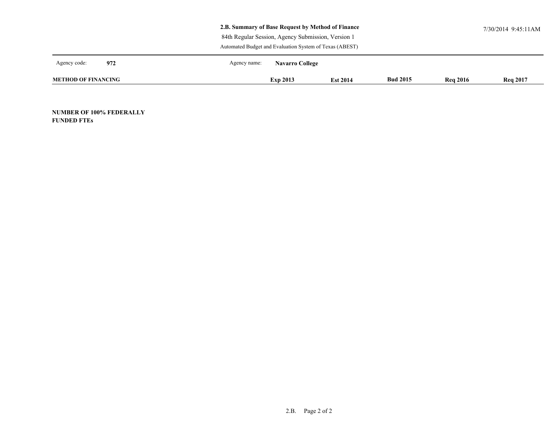|                            | 2.B. Summary of Base Request by Method of Finance<br>84th Regular Session, Agency Submission, Version 1<br>Automated Budget and Evaluation System of Texas (ABEST) |                                    | 7/30/2014 9:45:11AM |
|----------------------------|--------------------------------------------------------------------------------------------------------------------------------------------------------------------|------------------------------------|---------------------|
| Agency code:<br>972        | Agency name:<br><b>Navarro College</b>                                                                                                                             |                                    |                     |
| <b>METHOD OF FINANCING</b> | <b>Exp 2013</b><br><b>Est 2014</b>                                                                                                                                 | <b>Bud 2015</b><br><b>Reg 2016</b> | <b>Req 2017</b>     |

**NUMBER OF 100% FEDERALLY FUNDED FTEs**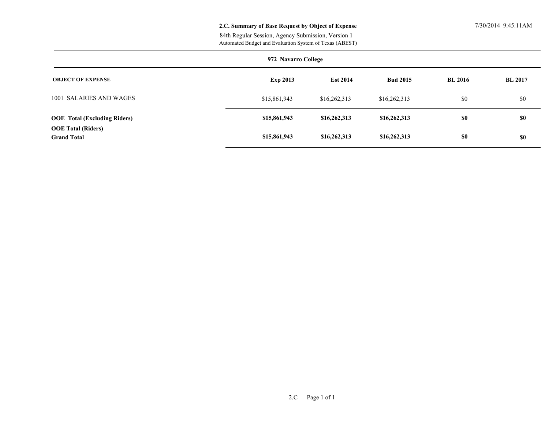#### **2.C. Summary of Base Request by Object of Expense** 7/30/2014 9:45:11AM

Automated Budget and Evaluation System of Texas (ABEST) 84th Regular Session, Agency Submission, Version 1

|                                                 | 972 Navarro College |                 |                 |                |                |
|-------------------------------------------------|---------------------|-----------------|-----------------|----------------|----------------|
| <b>OBJECT OF EXPENSE</b>                        | <b>Exp 2013</b>     | <b>Est 2014</b> | <b>Bud 2015</b> | <b>BL 2016</b> | <b>BL 2017</b> |
| 1001 SALARIES AND WAGES                         | \$15,861,943        | \$16,262,313    | \$16,262,313    | \$0            | \$0            |
| <b>OOE</b> Total (Excluding Riders)             | \$15,861,943        | \$16,262,313    | \$16,262,313    | <b>SO</b>      | \$0            |
| <b>OOE Total (Riders)</b><br><b>Grand Total</b> | \$15,861,943        | \$16,262,313    | \$16,262,313    | <b>SO</b>      | \$0            |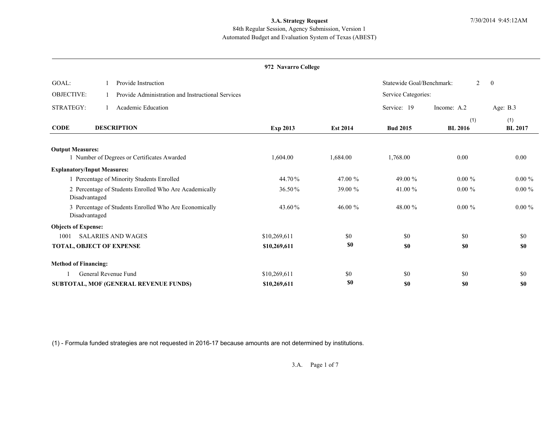#### Automated Budget and Evaluation System of Texas (ABEST) 84th Regular Session, Agency Submission, Version 1

#### **972 Navarro College**

| Provide Instruction                                                     |                 |                 |                 | $\overline{2}$        | $\overline{0}$                                   |
|-------------------------------------------------------------------------|-----------------|-----------------|-----------------|-----------------------|--------------------------------------------------|
| Provide Administration and Instructional Services                       |                 |                 |                 |                       |                                                  |
| Academic Education                                                      |                 |                 | Service: 19     | Income: A.2           | Age: $B.3$                                       |
| <b>DESCRIPTION</b>                                                      | <b>Exp 2013</b> | <b>Est 2014</b> | <b>Bud 2015</b> | (1)<br><b>BL 2016</b> | (1)<br><b>BL</b> 2017                            |
| <b>Output Measures:</b>                                                 |                 |                 |                 |                       |                                                  |
| Number of Degrees or Certificates Awarded                               | 1,604.00        | 1,684.00        | 1,768.00        | 0.00                  | 0.00                                             |
| <b>Explanatory/Input Measures:</b>                                      |                 |                 |                 |                       |                                                  |
| 1 Percentage of Minority Students Enrolled                              | 44.70%          | 47.00 %         | 49.00 %         | $0.00 \%$             | $0.00 \%$                                        |
| 2 Percentage of Students Enrolled Who Are Academically<br>Disadvantaged | 36.50%          | 39.00 %         | 41.00%          | $0.00 \%$             | $0.00 \%$                                        |
| 3 Percentage of Students Enrolled Who Are Economically<br>Disadvantaged | 43.60%          | 46.00 %         | 48.00 %         | $0.00 \%$             | $0.00 \%$                                        |
| <b>Objects of Expense:</b>                                              |                 |                 |                 |                       |                                                  |
| <b>SALARIES AND WAGES</b>                                               | \$10,269,611    | \$0             | \$0             | \$0                   | \$0                                              |
| TOTAL, OBJECT OF EXPENSE                                                | \$10,269,611    | \$0             | \$0             | \$0                   | \$0                                              |
| <b>Method of Financing:</b>                                             |                 |                 |                 |                       |                                                  |
| General Revenue Fund                                                    | \$10,269,611    | \$0             | \$0             | \$0                   | \$0                                              |
| SUBTOTAL, MOF (GENERAL REVENUE FUNDS)                                   | \$10,269,611    | \$0             | \$0             | \$0                   | \$0                                              |
|                                                                         |                 |                 |                 |                       | Statewide Goal/Benchmark:<br>Service Categories: |

(1) - Formula funded strategies are not requested in 2016-17 because amounts are not determined by institutions.

3.A. Page 1 of 7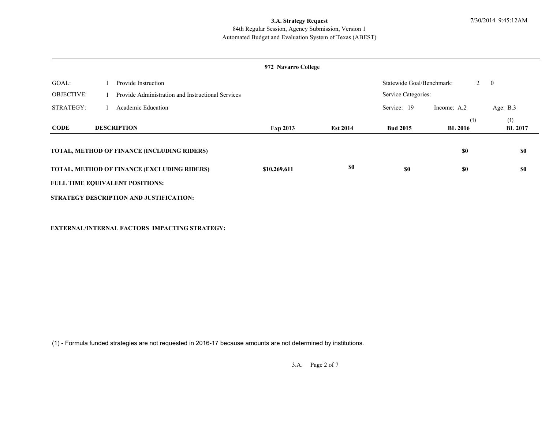#### 84th Regular Session, Agency Submission, Version 1 **3.A. Strategy Request** 7/30/2014 9:45:12AM

Automated Budget and Evaluation System of Texas (ABEST)

#### **972 Navarro College**

| GOAL:             | Provide Instruction                                |                 |                 |                     | Statewide Goal/Benchmark:<br>$2 \quad 0$ |                       |  |
|-------------------|----------------------------------------------------|-----------------|-----------------|---------------------|------------------------------------------|-----------------------|--|
| <b>OBJECTIVE:</b> | Provide Administration and Instructional Services  |                 |                 | Service Categories: |                                          |                       |  |
| STRATEGY:         | Academic Education                                 |                 |                 | Service: 19         | Income: A.2                              | Age: $B.3$            |  |
| <b>CODE</b>       | <b>DESCRIPTION</b>                                 | <b>Exp 2013</b> | <b>Est 2014</b> | <b>Bud 2015</b>     | (1)<br><b>BL 2016</b>                    | (1)<br><b>BL 2017</b> |  |
|                   | <b>TOTAL, METHOD OF FINANCE (INCLUDING RIDERS)</b> |                 |                 |                     | \$0                                      | \$0                   |  |
|                   | TOTAL, METHOD OF FINANCE (EXCLUDING RIDERS)        | \$10,269,611    | \$0             | <b>\$0</b>          | <b>SO</b>                                | \$0                   |  |
|                   | <b>FULL TIME EQUIVALENT POSITIONS:</b>             |                 |                 |                     |                                          |                       |  |
|                   | STRATEGY DESCRIPTION AND JUSTIFICATION:            |                 |                 |                     |                                          |                       |  |

**EXTERNAL/INTERNAL FACTORS IMPACTING STRATEGY:**

(1) - Formula funded strategies are not requested in 2016-17 because amounts are not determined by institutions.

3.A. Page 2 of 7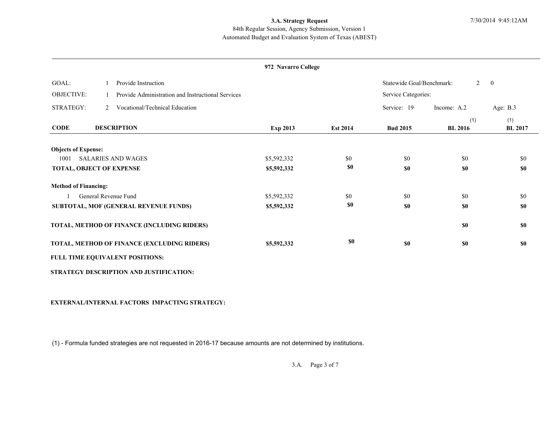#### Automated Budget and Evaluation System of Texas (ABEST) 84th Regular Session, Agency Submission, Version 1

#### **972 Navarro College**

| GOAL:                       |   | Provide Instruction                               |                 |                 | Statewide Goal/Benchmark: | 2                     | $\mathbf{0}$          |
|-----------------------------|---|---------------------------------------------------|-----------------|-----------------|---------------------------|-----------------------|-----------------------|
| <b>OBJECTIVE:</b>           |   | Provide Administration and Instructional Services |                 |                 | Service Categories:       |                       |                       |
| STRATEGY:                   | 2 | Vocational/Technical Education                    |                 |                 | Service: 19               | Income: A.2           | Age: B.3              |
| <b>CODE</b>                 |   | <b>DESCRIPTION</b>                                | <b>Exp 2013</b> | <b>Est 2014</b> | <b>Bud 2015</b>           | (1)<br><b>BL 2016</b> | (1)<br><b>BL</b> 2017 |
| <b>Objects of Expense:</b>  |   |                                                   |                 |                 |                           |                       |                       |
| 1001                        |   | <b>SALARIES AND WAGES</b>                         | \$5,592,332     | \$0             | \$0                       | \$0                   | \$0                   |
| TOTAL, OBJECT OF EXPENSE    |   |                                                   | \$5,592,332     | \$0             | \$0                       | \$0                   | <b>\$0</b>            |
| <b>Method of Financing:</b> |   |                                                   |                 |                 |                           |                       |                       |
|                             |   | General Revenue Fund                              | \$5,592,332     | \$0             | \$0                       | \$0                   | \$0                   |
|                             |   | <b>SUBTOTAL, MOF (GENERAL REVENUE FUNDS)</b>      | \$5,592,332     | \$0             | \$0                       | \$0                   | \$0                   |
|                             |   | TOTAL, METHOD OF FINANCE (INCLUDING RIDERS)       |                 |                 |                           | \$0                   | \$0                   |
|                             |   | TOTAL, METHOD OF FINANCE (EXCLUDING RIDERS)       | \$5,592,332     | \$0             | \$0                       | \$0                   | \$0                   |
|                             |   | FULL TIME EQUIVALENT POSITIONS:                   |                 |                 |                           |                       |                       |
|                             |   | STRATEGY DESCRIPTION AND JUSTIFICATION:           |                 |                 |                           |                       |                       |

**EXTERNAL/INTERNAL FACTORS IMPACTING STRATEGY:**

(1) - Formula funded strategies are not requested in 2016-17 because amounts are not determined by institutions.

3.A. Page 3 of 7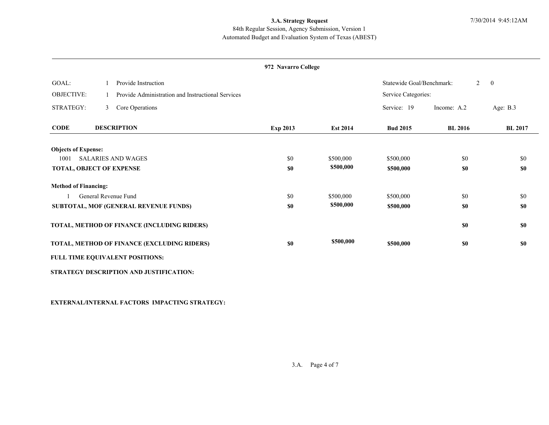#### Automated Budget and Evaluation System of Texas (ABEST) 84th Regular Session, Agency Submission, Version 1

#### **972 Navarro College**

| GOAL:                           |   | Provide Instruction                               |                 |                 | Statewide Goal/Benchmark: | $\overline{2}$ | $\overline{\mathbf{0}}$ |
|---------------------------------|---|---------------------------------------------------|-----------------|-----------------|---------------------------|----------------|-------------------------|
| <b>OBJECTIVE:</b>               |   | Provide Administration and Instructional Services |                 |                 | Service Categories:       |                |                         |
| STRATEGY:                       | 3 | Core Operations                                   |                 |                 | Service: 19               | Income: A.2    | Age: $B.3$              |
| <b>CODE</b>                     |   | <b>DESCRIPTION</b>                                | <b>Exp 2013</b> | <b>Est 2014</b> | <b>Bud 2015</b>           | <b>BL 2016</b> | <b>BL</b> 2017          |
| <b>Objects of Expense:</b>      |   |                                                   |                 |                 |                           |                |                         |
| 1001                            |   | <b>SALARIES AND WAGES</b>                         | \$0             | \$500,000       | \$500,000                 | \$0            | \$0                     |
| <b>TOTAL, OBJECT OF EXPENSE</b> |   |                                                   | <b>SO</b>       | \$500,000       | \$500,000                 | \$0            | <b>\$0</b>              |
| <b>Method of Financing:</b>     |   |                                                   |                 |                 |                           |                |                         |
|                                 |   | General Revenue Fund                              | \$0             | \$500,000       | \$500,000                 | \$0            | \$0                     |
|                                 |   | SUBTOTAL, MOF (GENERAL REVENUE FUNDS)             | <b>SO</b>       | \$500,000       | \$500,000                 | \$0            | <b>\$0</b>              |
|                                 |   | TOTAL, METHOD OF FINANCE (INCLUDING RIDERS)       |                 |                 |                           | \$0            | \$0                     |
|                                 |   | TOTAL, METHOD OF FINANCE (EXCLUDING RIDERS)       | \$0             | \$500,000       | \$500,000                 | \$0            | \$0                     |
|                                 |   | <b>FULL TIME EQUIVALENT POSITIONS:</b>            |                 |                 |                           |                |                         |
|                                 |   | STRATEGY DESCRIPTION AND JUSTIFICATION:           |                 |                 |                           |                |                         |

**EXTERNAL/INTERNAL FACTORS IMPACTING STRATEGY:**

3.A. Page 4 of 7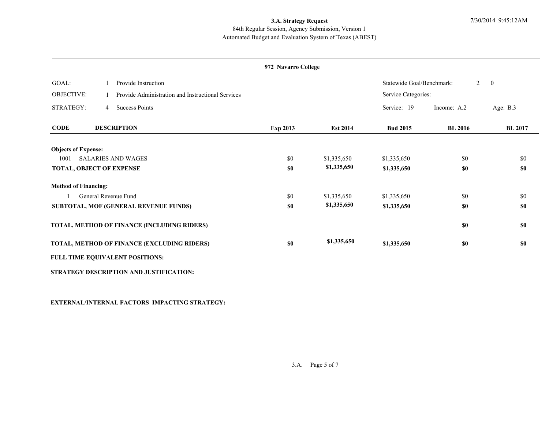#### Automated Budget and Evaluation System of Texas (ABEST) 84th Regular Session, Agency Submission, Version 1

#### **972 Navarro College**

| GOAL:                           |                | Provide Instruction                               |                 |                 | Statewide Goal/Benchmark: | $2^{\circ}$    | $\overline{\mathbf{0}}$ |
|---------------------------------|----------------|---------------------------------------------------|-----------------|-----------------|---------------------------|----------------|-------------------------|
| <b>OBJECTIVE:</b>               |                | Provide Administration and Instructional Services |                 |                 | Service Categories:       |                |                         |
| STRATEGY:                       | $\overline{4}$ | <b>Success Points</b>                             |                 |                 | Service: 19               | Income: A.2    | Age: B.3                |
| <b>CODE</b>                     |                | <b>DESCRIPTION</b>                                | <b>Exp 2013</b> | <b>Est 2014</b> | <b>Bud 2015</b>           | <b>BL 2016</b> | <b>BL 2017</b>          |
| <b>Objects of Expense:</b>      |                |                                                   |                 |                 |                           |                |                         |
| 1001                            |                | <b>SALARIES AND WAGES</b>                         | \$0             | \$1,335,650     | \$1,335,650               | \$0            | \$0                     |
| <b>TOTAL, OBJECT OF EXPENSE</b> |                |                                                   | \$0             | \$1,335,650     | \$1,335,650               | \$0            | <b>\$0</b>              |
| <b>Method of Financing:</b>     |                |                                                   |                 |                 |                           |                |                         |
|                                 |                | General Revenue Fund                              | \$0             | \$1,335,650     | \$1,335,650               | \$0            | \$0                     |
|                                 |                | SUBTOTAL, MOF (GENERAL REVENUE FUNDS)             | \$0             | \$1,335,650     | \$1,335,650               | \$0            | \$0                     |
|                                 |                | TOTAL, METHOD OF FINANCE (INCLUDING RIDERS)       |                 |                 |                           | \$0            | \$0                     |
|                                 |                | TOTAL, METHOD OF FINANCE (EXCLUDING RIDERS)       | <b>SO</b>       | \$1,335,650     | \$1,335,650               | \$0            | \$0                     |
|                                 |                | FULL TIME EQUIVALENT POSITIONS:                   |                 |                 |                           |                |                         |
|                                 |                | STRATEGY DESCRIPTION AND JUSTIFICATION:           |                 |                 |                           |                |                         |

**EXTERNAL/INTERNAL FACTORS IMPACTING STRATEGY:**

3.A. Page 5 of 7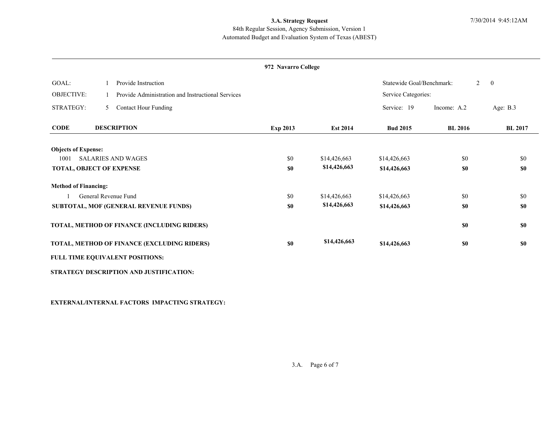#### Automated Budget and Evaluation System of Texas (ABEST) 84th Regular Session, Agency Submission, Version 1

#### **972 Navarro College**

| GOAL:                           |   | Provide Instruction                               |                 |                 | Statewide Goal/Benchmark: | $\overline{2}$ | $\overline{\mathbf{0}}$ |
|---------------------------------|---|---------------------------------------------------|-----------------|-----------------|---------------------------|----------------|-------------------------|
| <b>OBJECTIVE:</b>               |   | Provide Administration and Instructional Services |                 |                 | Service Categories:       |                |                         |
| STRATEGY:                       | 5 | <b>Contact Hour Funding</b>                       |                 |                 | Service: 19               | Income: A.2    | Age: $B.3$              |
| <b>CODE</b>                     |   | <b>DESCRIPTION</b>                                | <b>Exp 2013</b> | <b>Est 2014</b> | <b>Bud 2015</b>           | <b>BL 2016</b> | <b>BL</b> 2017          |
| <b>Objects of Expense:</b>      |   |                                                   |                 |                 |                           |                |                         |
| 1001                            |   | <b>SALARIES AND WAGES</b>                         | \$0             | \$14,426,663    | \$14,426,663              | \$0            | \$0                     |
| <b>TOTAL, OBJECT OF EXPENSE</b> |   |                                                   | <b>SO</b>       | \$14,426,663    | \$14,426,663              | \$0            | \$0                     |
| <b>Method of Financing:</b>     |   |                                                   |                 |                 |                           |                |                         |
|                                 |   | General Revenue Fund                              | \$0             | \$14,426,663    | \$14,426,663              | \$0            | \$0                     |
|                                 |   | SUBTOTAL, MOF (GENERAL REVENUE FUNDS)             | \$0             | \$14,426,663    | \$14,426,663              | \$0            | \$0                     |
|                                 |   | TOTAL, METHOD OF FINANCE (INCLUDING RIDERS)       |                 |                 |                           | \$0            | \$0                     |
|                                 |   | TOTAL, METHOD OF FINANCE (EXCLUDING RIDERS)       | \$0             | \$14,426,663    | \$14,426,663              | <b>SO</b>      | \$0                     |
|                                 |   | FULL TIME EQUIVALENT POSITIONS:                   |                 |                 |                           |                |                         |
|                                 |   | STRATEGY DESCRIPTION AND JUSTIFICATION:           |                 |                 |                           |                |                         |

**EXTERNAL/INTERNAL FACTORS IMPACTING STRATEGY:**

3.A. Page 6 of 7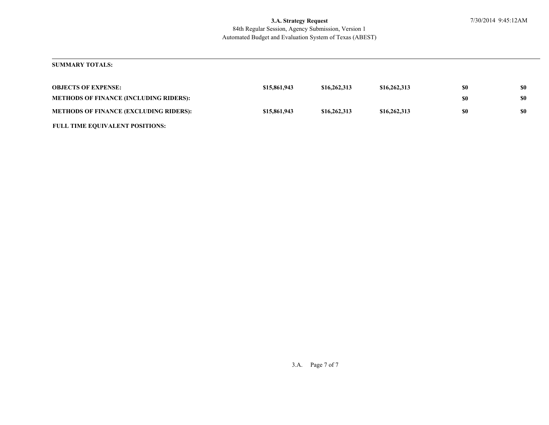#### Automated Budget and Evaluation System of Texas (ABEST) 84th Regular Session, Agency Submission, Version 1 **3.A. Strategy Request** 7/30/2014 9:45:12AM

#### **SUMMARY TOTALS:**

| <b>OBJECTS OF EXPENSE:</b>                    | \$15,861,943 | \$16,262,313 | \$16,262,313 | \$0 | \$0 |
|-----------------------------------------------|--------------|--------------|--------------|-----|-----|
| <b>METHODS OF FINANCE (INCLUDING RIDERS):</b> |              |              |              | \$0 | \$0 |
| <b>METHODS OF FINANCE (EXCLUDING RIDERS):</b> | \$15,861,943 | \$16,262,313 | \$16,262,313 | \$0 | \$0 |
| <b>FULL TIME EQUIVALENT POSITIONS:</b>        |              |              |              |     |     |

3.A. Page 7 of 7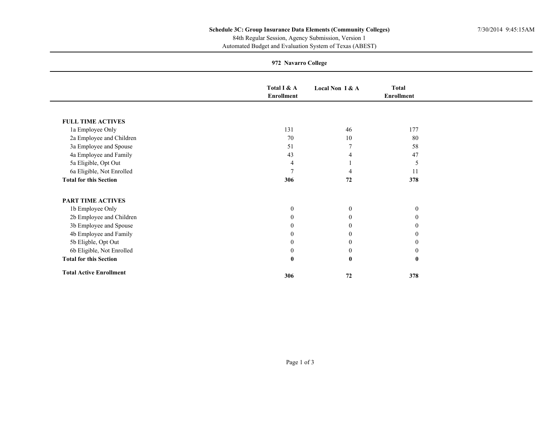Automated Budget and Evaluation System of Texas (ABEST)

|                                |                                  | 972 Navarro College |                                   |  |
|--------------------------------|----------------------------------|---------------------|-----------------------------------|--|
|                                | Total I & A<br><b>Enrollment</b> | Local Non I & A     | <b>Total</b><br><b>Enrollment</b> |  |
|                                |                                  |                     |                                   |  |
| <b>FULL TIME ACTIVES</b>       |                                  |                     |                                   |  |
| 1a Employee Only               | 131                              | 46                  | 177                               |  |
| 2a Employee and Children       | 70                               | $10\,$              | 80                                |  |
| 3a Employee and Spouse         | 51                               |                     | 58                                |  |
| 4a Employee and Family         | 43                               |                     | 47                                |  |
| 5a Eligible, Opt Out           | $\overline{4}$                   |                     | 5                                 |  |
| 6a Eligible, Not Enrolled      |                                  |                     | 11                                |  |
| <b>Total for this Section</b>  | 306                              | 72                  | 378                               |  |
| <b>PART TIME ACTIVES</b>       |                                  |                     |                                   |  |
| 1b Employee Only               | $\overline{0}$                   | $\boldsymbol{0}$    | $\mathbf{0}$                      |  |
| 2b Employee and Children       | $\theta$                         | $\mathbf{0}$        | $\overline{0}$                    |  |
| 3b Employee and Spouse         | 0                                | $\boldsymbol{0}$    | $\boldsymbol{0}$                  |  |
| 4b Employee and Family         | 0                                | $\mathbf{0}$        | $\mathbf{0}$                      |  |
| 5b Eligble, Opt Out            | 0                                | $\boldsymbol{0}$    | $\theta$                          |  |
| 6b Eligible, Not Enrolled      |                                  | $\boldsymbol{0}$    | $\boldsymbol{0}$                  |  |
| <b>Total for this Section</b>  | $\bf{0}$                         | $\bf{0}$            | $\bf{0}$                          |  |
| <b>Total Active Enrollment</b> | 306                              | 72                  | 378                               |  |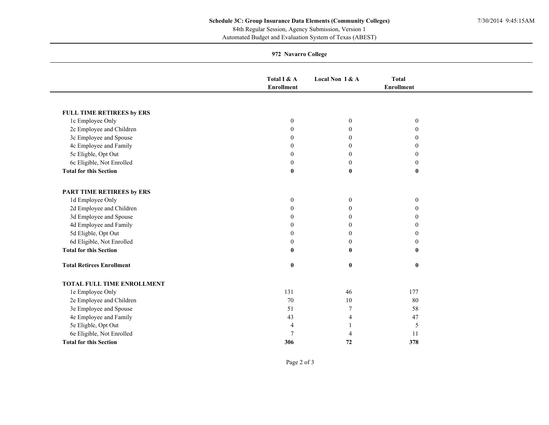Automated Budget and Evaluation System of Texas (ABEST)

|                                   | 972 Navarro College              |                  |                                   |  |
|-----------------------------------|----------------------------------|------------------|-----------------------------------|--|
|                                   | Total I & A<br><b>Enrollment</b> | Local Non I & A  | <b>Total</b><br><b>Enrollment</b> |  |
|                                   |                                  |                  |                                   |  |
| FULL TIME RETIREES by ERS         |                                  |                  |                                   |  |
| 1c Employee Only                  | $\mathbf{0}$                     | $\boldsymbol{0}$ | $\boldsymbol{0}$                  |  |
| 2c Employee and Children          | $\Omega$                         | $\theta$         | $\mathbf{0}$                      |  |
| 3c Employee and Spouse            | $\Omega$                         | $\overline{0}$   | $\theta$                          |  |
| 4c Employee and Family            | $\Omega$                         | $\overline{0}$   | $\mathbf{0}$                      |  |
| 5c Eligble, Opt Out               | $\theta$                         | $\mathbf{0}$     | $\mathbf{0}$                      |  |
| 6c Eligible, Not Enrolled         | $\boldsymbol{0}$                 | $\boldsymbol{0}$ | $\boldsymbol{0}$                  |  |
| <b>Total for this Section</b>     | $\bf{0}$                         | $\bf{0}$         | $\bf{0}$                          |  |
|                                   |                                  |                  |                                   |  |
| PART TIME RETIREES by ERS         |                                  |                  |                                   |  |
| 1d Employee Only                  | $\boldsymbol{0}$                 | $\boldsymbol{0}$ | $\boldsymbol{0}$                  |  |
| 2d Employee and Children          | $\theta$                         | $\overline{0}$   | $\mathbf{0}$                      |  |
| 3d Employee and Spouse            | $\Omega$                         | $\Omega$         | $\theta$                          |  |
| 4d Employee and Family            | $\Omega$                         | $\overline{0}$   | $\mathbf{0}$                      |  |
| 5d Eligble, Opt Out               | $\theta$                         | $\mathbf{0}$     | $\theta$                          |  |
| 6d Eligible, Not Enrolled         | $\mathbf{0}$                     | $\boldsymbol{0}$ | $\mathbf{0}$                      |  |
| <b>Total for this Section</b>     | $\mathbf{0}$                     | $\mathbf{0}$     | $\mathbf{0}$                      |  |
| <b>Total Retirees Enrollment</b>  | $\bf{0}$                         | $\bf{0}$         | $\bf{0}$                          |  |
| <b>TOTAL FULL TIME ENROLLMENT</b> |                                  |                  |                                   |  |
| 1e Employee Only                  | 131                              | 46               | 177                               |  |
| 2e Employee and Children          | 70                               | $10\,$           | 80                                |  |
| 3e Employee and Spouse            | 51                               | 7                | 58                                |  |
| 4e Employee and Family            | 43                               | $\overline{4}$   | 47                                |  |
| 5e Eligble, Opt Out               | 4                                |                  | 5                                 |  |
| 6e Eligible, Not Enrolled         | $\tau$                           | 4                | 11                                |  |
| <b>Total for this Section</b>     | 306                              | 72               | 378                               |  |

Page 2 of 3